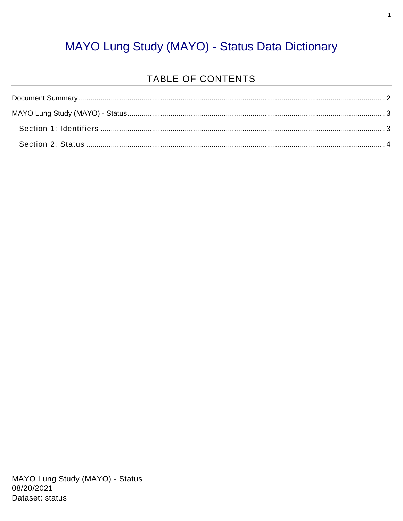#### MAYO Lung Study (MAYO) - Status Data Dictionary

#### TABLE OF CONTENTS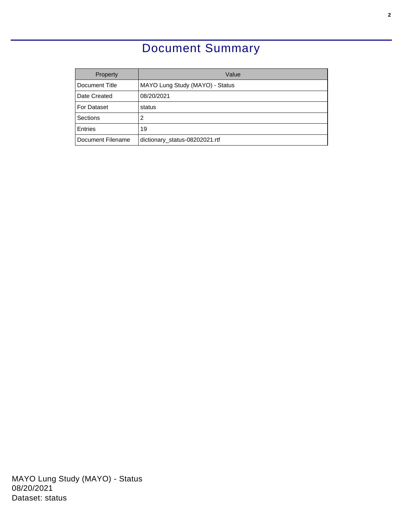### Document Summary

<span id="page-1-0"></span>

| Property          | Value                           |  |  |
|-------------------|---------------------------------|--|--|
| Document Title    | MAYO Lung Study (MAYO) - Status |  |  |
| Date Created      | 08/20/2021                      |  |  |
| For Dataset       | status                          |  |  |
| Sections          | 2                               |  |  |
| <b>Entries</b>    | 19                              |  |  |
| Document Filename | dictionary_status-08202021.rtf  |  |  |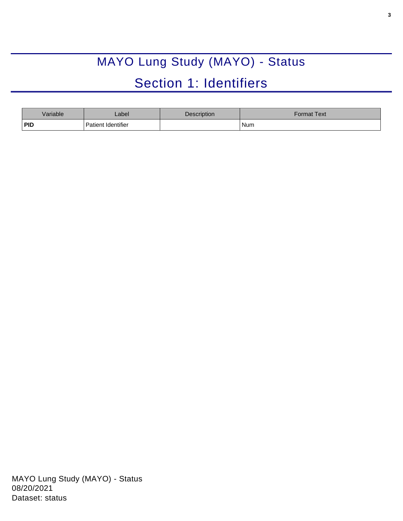# MAYO Lung Study (MAYO) - Status Section 1: Identifiers

<span id="page-2-1"></span><span id="page-2-0"></span>

| Variable | _abel              | Description | Format Text <sup>l</sup> |
|----------|--------------------|-------------|--------------------------|
| PID      | Patient Identifier |             | Num                      |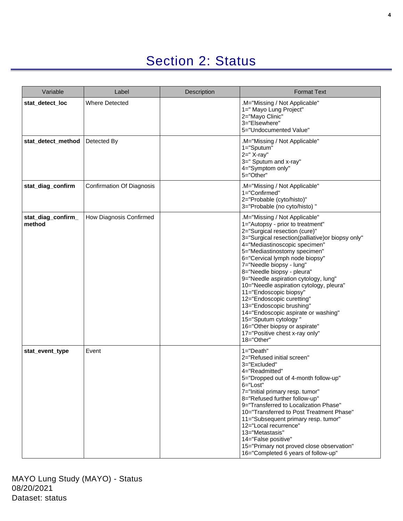## Section 2: Status

<span id="page-3-0"></span>

| Variable                     | Label                            | <b>Description</b> | <b>Format Text</b>                                                                                                                                                                                                                                                                                                                                                                                                                                                                                                                                                                                                                        |
|------------------------------|----------------------------------|--------------------|-------------------------------------------------------------------------------------------------------------------------------------------------------------------------------------------------------------------------------------------------------------------------------------------------------------------------------------------------------------------------------------------------------------------------------------------------------------------------------------------------------------------------------------------------------------------------------------------------------------------------------------------|
| stat_detect_loc              | <b>Where Detected</b>            |                    | .M="Missing / Not Applicable"<br>1=" Mayo Lung Project"<br>2="Mayo Clinic"<br>3="Elsewhere"<br>5="Undocumented Value"                                                                                                                                                                                                                                                                                                                                                                                                                                                                                                                     |
| stat detect method           | Detected By                      |                    | .M="Missing / Not Applicable"<br>1="Sputum"<br>$2=" x - x^2$<br>3=" Sputum and x-ray"<br>4="Symptom only"<br>5="Other"                                                                                                                                                                                                                                                                                                                                                                                                                                                                                                                    |
| stat_diag_confirm            | <b>Confirmation Of Diagnosis</b> |                    | .M="Missing / Not Applicable"<br>1="Confirmed"<br>2="Probable (cyto/histo)"<br>3="Probable (no cyto/histo)"                                                                                                                                                                                                                                                                                                                                                                                                                                                                                                                               |
| stat_diag_confirm_<br>method | How Diagnosis Confirmed          |                    | .M="Missing / Not Applicable"<br>1="Autopsy - prior to treatment"<br>2="Surgical resection (cure)"<br>3="Surgical resection(palliative)or biopsy only"<br>4="Mediastinoscopic specimen"<br>5="Mediastinostomy specimen"<br>6="Cervical lymph node biopsy"<br>7="Needle biopsy - lung"<br>8="Needle biopsy - pleura"<br>9="Needle aspiration cytology, lung"<br>10="Needle aspiration cytology, pleura"<br>11="Endoscopic biopsy"<br>12="Endoscopic curetting"<br>13="Endoscopic brushing"<br>14="Endoscopic aspirate or washing"<br>15="Sputum cytology"<br>16="Other biopsy or aspirate"<br>17="Positive chest x-ray only"<br>18="Other" |
| stat event type              | Event                            |                    | $1 = "Death"$<br>2="Refused initial screen"<br>3="Excluded"<br>4="Readmitted"<br>5="Dropped out of 4-month follow-up"<br>6="Lost"<br>7="Initial primary resp. tumor"<br>8="Refused further follow-up"<br>9="Transferred to Localization Phase"<br>10="Transferred to Post Treatment Phase"<br>11="Subsequent primary resp. tumor"<br>12="Local recurrence"<br>13="Metastasis"<br>14="False positive"<br>15="Primary not proved close observation"<br>16="Completed 6 years of follow-up"                                                                                                                                                  |